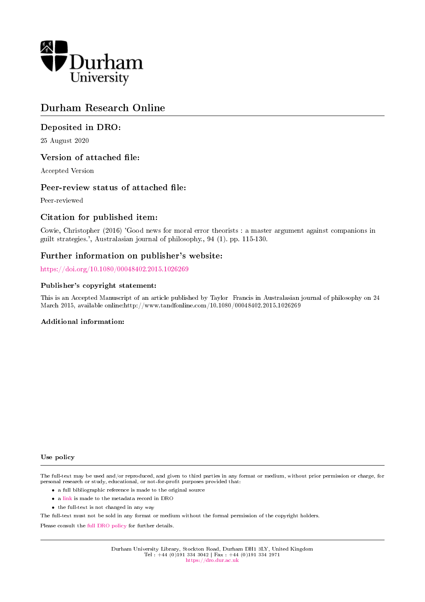

# Durham Research Online

## Deposited in DRO:

25 August 2020

### Version of attached file:

Accepted Version

#### Peer-review status of attached file:

Peer-reviewed

## Citation for published item:

Cowie, Christopher (2016) 'Good news for moral error theorists : a master argument against companions in guilt strategies.', Australasian journal of philosophy., 94 (1). pp. 115-130.

### Further information on publisher's website:

<https://doi.org/10.1080/00048402.2015.1026269>

#### Publisher's copyright statement:

This is an Accepted Manuscript of an article published by Taylor Francis in Australasian journal of philosophy on 24 March 2015, available online:http://www.tandfonline.com/10.1080/00048402.2015.1026269

#### Additional information:

Use policy

The full-text may be used and/or reproduced, and given to third parties in any format or medium, without prior permission or charge, for personal research or study, educational, or not-for-profit purposes provided that:

- a full bibliographic reference is made to the original source
- a [link](http://dro.dur.ac.uk/31593/) is made to the metadata record in DRO
- the full-text is not changed in any way

The full-text must not be sold in any format or medium without the formal permission of the copyright holders.

Please consult the [full DRO policy](https://dro.dur.ac.uk/policies/usepolicy.pdf) for further details.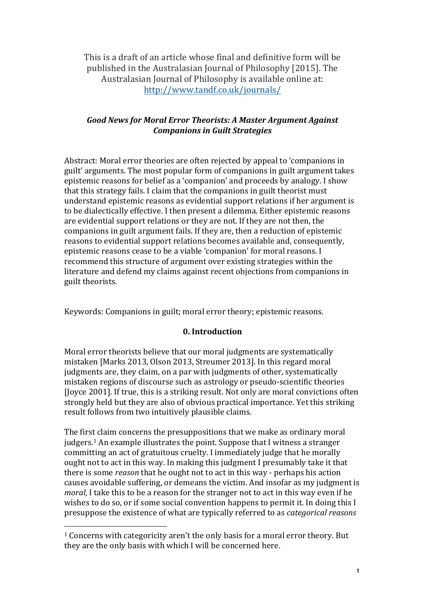This is a draft of an article whose final and definitive form will be published in the Australasian Journal of Philosophy [2015]. The Australasian Journal of Philosophy is available online at: http://www.tandf.co.uk/journals/

## Good News for Moral Error Theorists: A Master Argument Against *Companions in Guilt Strategies*

Abstract: Moral error theories are often rejected by appeal to 'companions in guilt' arguments. The most popular form of companions in guilt argument takes epistemic reasons for belief as a 'companion' and proceeds by analogy. I show that this strategy fails. I claim that the companions in guilt theorist must understand epistemic reasons as evidential support relations if her argument is to be dialectically effective. I then present a dilemma. Either epistemic reasons are evidential support relations or they are not. If they are not then, the companions in guilt argument fails. If they are, then a reduction of epistemic reasons to evidential support relations becomes available and, consequently, epistemic reasons cease to be a viable 'companion' for moral reasons. I recommend this structure of argument over existing strategies within the literature and defend my claims against recent objections from companions in guilt theorists.

Keywords: Companions in guilt; moral error theory; epistemic reasons.

## **0. Introduction**

Moral error theorists believe that our moral judgments are systematically mistaken [Marks 2013, Olson 2013, Streumer 2013]. In this regard moral judgments are, they claim, on a par with judgments of other, systematically mistaken regions of discourse such as astrology or pseudo-scientific theories [Joyce 2001]. If true, this is a striking result. Not only are moral convictions often strongly held but they are also of obvious practical importance. Yet this striking result follows from two intuitively plausible claims.

The first claim concerns the presuppositions that we make as ordinary moral judgers.<sup>1</sup> An example illustrates the point. Suppose that I witness a stranger committing an act of gratuitous cruelty. I immediately judge that he morally ought not to act in this way. In making this judgment I presumably take it that there is some *reason* that he ought not to act in this way - perhaps his action causes avoidable suffering, or demeans the victim. And insofar as my judgment is *moral*, I take this to be a reason for the stranger not to act in this way even if he wishes to do so, or if some social convention happens to permit it. In doing this I presuppose the existence of what are typically referred to as *categorical reasons* 

 $1$  Concerns with categoricity aren't the only basis for a moral error theory. But they are the only basis with which I will be concerned here.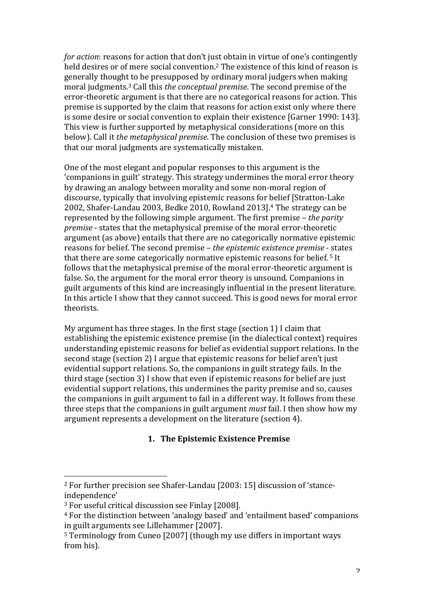*for action*: reasons for action that don't just obtain in virtue of one's contingently held desires or of mere social convention.<sup>2</sup> The existence of this kind of reason is generally thought to be presupposed by ordinary moral judgers when making moral judgments.<sup>3</sup> Call this *the conceptual premise*. The second premise of the error-theoretic argument is that there are no categorical reasons for action. This premise is supported by the claim that reasons for action exist only where there is some desire or social convention to explain their existence [Garner 1990: 143]. This view is further supported by metaphysical considerations (more on this below). Call it *the metaphysical premise*. The conclusion of these two premises is that our moral judgments are systematically mistaken.

One of the most elegant and popular responses to this argument is the 'companions in guilt' strategy. This strategy undermines the moral error theory by drawing an analogy between morality and some non-moral region of discourse, typically that involving epistemic reasons for belief [Stratton-Lake] 2002, Shafer-Landau 2003, Bedke 2010, Rowland 2013].<sup>4</sup> The strategy can be represented by the following simple argument. The first premise – *the parity premise* - states that the metaphysical premise of the moral error-theoretic argument (as above) entails that there are no categorically normative epistemic reasons for belief. The second premise – *the epistemic existence premise* - states that there are some categorically normative epistemic reasons for belief.<sup>5</sup> It follows that the metaphysical premise of the moral error-theoretic argument is false. So, the argument for the moral error theory is unsound. Companions in guilt arguments of this kind are increasingly influential in the present literature. In this article I show that they cannot succeed. This is good news for moral error theorists.

My argument has three stages. In the first stage (section 1) I claim that establishing the epistemic existence premise (in the dialectical context) requires understanding epistemic reasons for belief as evidential support relations. In the second stage (section 2) I argue that epistemic reasons for belief aren't just evidential support relations. So, the companions in guilt strategy fails. In the third stage (section  $3$ ) I show that even if epistemic reasons for belief are just evidential support relations, this undermines the parity premise and so, causes the companions in guilt argument to fail in a different way. It follows from these three steps that the companions in guilt argument *must* fail. I then show how my argument represents a development on the literature (section 4).

# **1.** The Epistemic Existence Premise

<sup>&</sup>lt;sup>2</sup> For further precision see Shafer-Landau [2003: 15] discussion of 'stanceindependence' 

<sup>&</sup>lt;sup>3</sup> For useful critical discussion see Finlay [2008].

<sup>&</sup>lt;sup>4</sup> For the distinction between 'analogy based' and 'entailment based' companions in guilt arguments see Lillehammer [2007].

<sup>&</sup>lt;sup>5</sup> Terminology from Cuneo [2007] (though my use differs in important ways from his).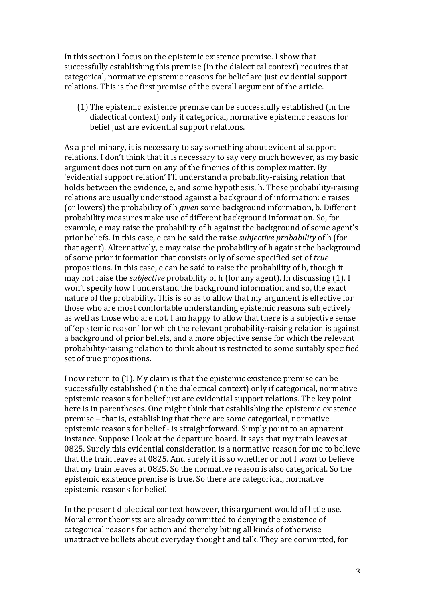In this section I focus on the epistemic existence premise. I show that successfully establishing this premise (in the dialectical context) requires that categorical, normative epistemic reasons for belief are just evidential support relations. This is the first premise of the overall argument of the article.

 $(1)$  The epistemic existence premise can be successfully established  $($ in the dialectical context) only if categorical, normative epistemic reasons for belief just are evidential support relations.

As a preliminary, it is necessary to say something about evidential support relations. I don't think that it is necessary to say very much however, as my basic argument does not turn on any of the fineries of this complex matter. By 'evidential support relation' I'll understand a probability-raising relation that holds between the evidence, e, and some hypothesis, h. These probability-raising relations are usually understood against a background of information: e raises (or lowers) the probability of h *given* some background information, b. Different probability measures make use of different background information. So, for example, e may raise the probability of h against the background of some agent's prior beliefs. In this case, e can be said the raise *subjective probability* of h (for that agent). Alternatively, e may raise the probability of h against the background of some prior information that consists only of some specified set of *true* propositions. In this case, e can be said to raise the probability of h, though it may not raise the *subjective* probability of h (for any agent). In discussing (1), I won't specify how I understand the background information and so, the exact nature of the probability. This is so as to allow that my argument is effective for those who are most comfortable understanding epistemic reasons subjectively as well as those who are not. I am happy to allow that there is a subjective sense of 'epistemic reason' for which the relevant probability-raising relation is against a background of prior beliefs, and a more objective sense for which the relevant probability-raising relation to think about is restricted to some suitably specified set of true propositions.

I now return to  $(1)$ . My claim is that the epistemic existence premise can be successfully established (in the dialectical context) only if categorical, normative epistemic reasons for belief just are evidential support relations. The key point here is in parentheses. One might think that establishing the epistemic existence premise – that is, establishing that there are some categorical, normative epistemic reasons for belief - is straightforward. Simply point to an apparent instance. Suppose I look at the departure board. It says that my train leaves at 0825. Surely this evidential consideration is a normative reason for me to believe that the train leaves at 0825. And surely it is so whether or not I want to believe that my train leaves at 0825. So the normative reason is also categorical. So the epistemic existence premise is true. So there are categorical, normative epistemic reasons for belief.

In the present dialectical context however, this argument would of little use. Moral error theorists are already committed to denying the existence of categorical reasons for action and thereby biting all kinds of otherwise unattractive bullets about everyday thought and talk. They are committed, for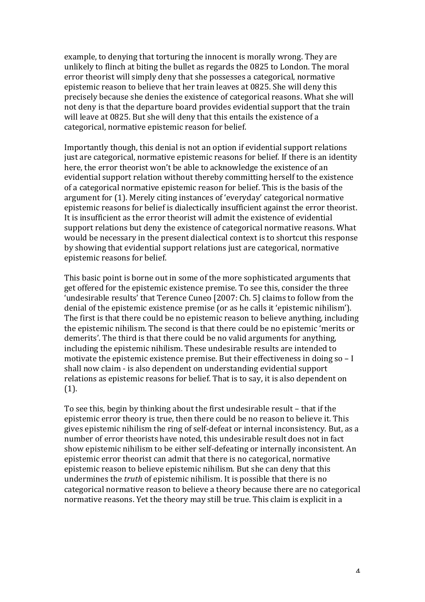example, to denying that torturing the innocent is morally wrong. They are unlikely to flinch at biting the bullet as regards the 0825 to London. The moral error theorist will simply deny that she possesses a categorical, normative epistemic reason to believe that her train leaves at 0825. She will deny this precisely because she denies the existence of categorical reasons. What she will not deny is that the departure board provides evidential support that the train will leave at 0825. But she will deny that this entails the existence of a categorical, normative epistemic reason for belief.

Importantly though, this denial is not an option if evidential support relations just are categorical, normative epistemic reasons for belief. If there is an identity here, the error theorist won't be able to acknowledge the existence of an evidential support relation without thereby committing herself to the existence of a categorical normative epistemic reason for belief. This is the basis of the argument for (1). Merely citing instances of 'everyday' categorical normative epistemic reasons for belief is dialectically insufficient against the error theorist. It is insufficient as the error theorist will admit the existence of evidential support relations but deny the existence of categorical normative reasons. What would be necessary in the present dialectical context is to shortcut this response by showing that evidential support relations just are categorical, normative epistemic reasons for belief.

This basic point is borne out in some of the more sophisticated arguments that get offered for the epistemic existence premise. To see this, consider the three 'undesirable results' that Terence Cuneo [2007: Ch. 5] claims to follow from the denial of the epistemic existence premise (or as he calls it 'epistemic nihilism'). The first is that there could be no epistemic reason to believe anything, including the epistemic nihilism. The second is that there could be no epistemic 'merits or demerits'. The third is that there could be no valid arguments for anything, including the epistemic nihilism. These undesirable results are intended to motivate the epistemic existence premise. But their effectiveness in doing so  $-1$ shall now claim - is also dependent on understanding evidential support relations as epistemic reasons for belief. That is to say, it is also dependent on (1).

To see this, begin by thinking about the first undesirable result – that if the epistemic error theory is true, then there could be no reason to believe it. This gives epistemic nihilism the ring of self-defeat or internal inconsistency. But, as a number of error theorists have noted, this undesirable result does not in fact show epistemic nihilism to be either self-defeating or internally inconsistent. An epistemic error theorist can admit that there is no categorical, normative epistemic reason to believe epistemic nihilism. But she can deny that this undermines the *truth* of epistemic nihilism. It is possible that there is no categorical normative reason to believe a theory because there are no categorical normative reasons. Yet the theory may still be true. This claim is explicit in a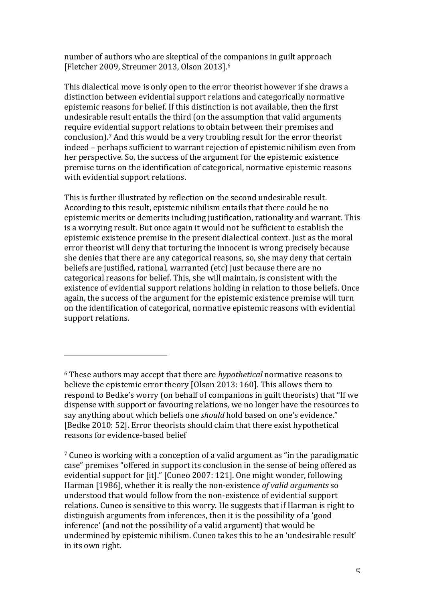number of authors who are skeptical of the companions in guilt approach [Fletcher 2009, Streumer 2013, Olson 2013].<sup>6</sup>

This dialectical move is only open to the error theorist however if she draws a distinction between evidential support relations and categorically normative epistemic reasons for belief. If this distinction is not available, then the first undesirable result entails the third (on the assumption that valid arguments require evidential support relations to obtain between their premises and conclusion).<sup>7</sup> And this would be a very troubling result for the error theorist indeed – perhaps sufficient to warrant rejection of epistemic nihilism even from her perspective. So, the success of the argument for the epistemic existence premise turns on the identification of categorical, normative epistemic reasons with evidential support relations.

This is further illustrated by reflection on the second undesirable result. According to this result, epistemic nihilism entails that there could be no epistemic merits or demerits including justification, rationality and warrant. This is a worrying result. But once again it would not be sufficient to establish the epistemic existence premise in the present dialectical context. Just as the moral error theorist will deny that torturing the innocent is wrong precisely because she denies that there are any categorical reasons, so, she may deny that certain beliefs are justified, rational, warranted (etc) just because there are no categorical reasons for belief. This, she will maintain, is consistent with the existence of evidential support relations holding in relation to those beliefs. Once again, the success of the argument for the epistemic existence premise will turn on the identification of categorical, normative epistemic reasons with evidential support relations.

<sup>&</sup>lt;sup>6</sup> These authors may accept that there are *hypothetical* normative reasons to believe the epistemic error theory [Olson 2013: 160]. This allows them to respond to Bedke's worry (on behalf of companions in guilt theorists) that "If we dispense with support or favouring relations, we no longer have the resources to say anything about which beliefs one *should* hold based on one's evidence." [Bedke 2010: 52]. Error theorists should claim that there exist hypothetical reasons for evidence-based belief

 $7$  Cuneo is working with a conception of a valid argument as "in the paradigmatic case" premises "offered in support its conclusion in the sense of being offered as evidential support for [it]." [Cuneo 2007: 121]. One might wonder, following Harman [1986], whether it is really the non-existence of valid arguments so understood that would follow from the non-existence of evidential support relations. Cuneo is sensitive to this worry. He suggests that if Harman is right to distinguish arguments from inferences, then it is the possibility of a 'good inference' (and not the possibility of a valid argument) that would be undermined by epistemic nihilism. Cuneo takes this to be an 'undesirable result' in its own right.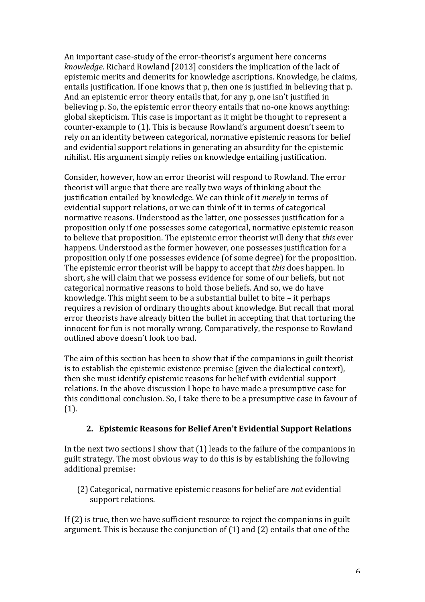An important case-study of the error-theorist's argument here concerns *knowledge*. Richard Rowland [2013] considers the implication of the lack of epistemic merits and demerits for knowledge ascriptions. Knowledge, he claims, entails justification. If one knows that p, then one is justified in believing that p. And an epistemic error theory entails that, for any p, one isn't justified in believing p. So, the epistemic error theory entails that no-one knows anything: global skepticism. This case is important as it might be thought to represent a counter-example to (1). This is because Rowland's argument doesn't seem to rely on an identity between categorical, normative epistemic reasons for belief and evidential support relations in generating an absurdity for the epistemic nihilist. His argument simply relies on knowledge entailing justification.

Consider, however, how an error theorist will respond to Rowland. The error theorist will argue that there are really two ways of thinking about the justification entailed by knowledge. We can think of it *merely* in terms of evidential support relations, or we can think of it in terms of categorical normative reasons. Understood as the latter, one possesses justification for a proposition only if one possesses some categorical, normative epistemic reason to believe that proposition. The epistemic error theorist will deny that *this* ever happens. Understood as the former however, one possesses justification for a proposition only if one possesses evidence (of some degree) for the proposition. The epistemic error theorist will be happy to accept that *this* does happen. In short, she will claim that we possess evidence for some of our beliefs, but not categorical normative reasons to hold those beliefs. And so, we do have knowledge. This might seem to be a substantial bullet to bite  $-$  it perhaps requires a revision of ordinary thoughts about knowledge. But recall that moral error theorists have already bitten the bullet in accepting that that torturing the innocent for fun is not morally wrong. Comparatively, the response to Rowland outlined above doesn't look too bad.

The aim of this section has been to show that if the companions in guilt theorist is to establish the epistemic existence premise (given the dialectical context), then she must identify epistemic reasons for belief with evidential support relations. In the above discussion I hope to have made a presumptive case for this conditional conclusion. So, I take there to be a presumptive case in favour of (1). 

## **2. Epistemic Reasons for Belief Aren't Evidential Support Relations**

In the next two sections I show that  $(1)$  leads to the failure of the companions in guilt strategy. The most obvious way to do this is by establishing the following additional premise:

(2) Categorical, normative epistemic reasons for belief are *not* evidential support relations.

If  $(2)$  is true, then we have sufficient resource to reject the companions in guilt argument. This is because the conjunction of  $(1)$  and  $(2)$  entails that one of the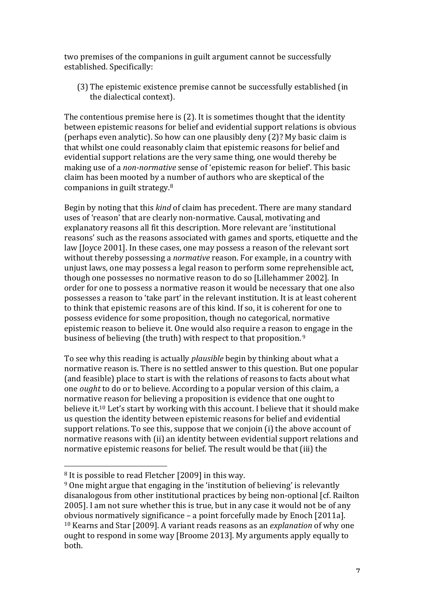two premises of the companions in guilt argument cannot be successfully established. Specifically:

(3) The epistemic existence premise cannot be successfully established (in the dialectical context).

The contentious premise here is  $(2)$ . It is sometimes thought that the identity between epistemic reasons for belief and evidential support relations is obvious (perhaps even analytic). So how can one plausibly deny  $(2)$ ? My basic claim is that whilst one could reasonably claim that epistemic reasons for belief and evidential support relations are the very same thing, one would thereby be making use of a *non-normative* sense of 'epistemic reason for belief'. This basic claim has been mooted by a number of authors who are skeptical of the companions in guilt strategy.<sup>8</sup>

Begin by noting that this *kind* of claim has precedent. There are many standard uses of 'reason' that are clearly non-normative. Causal, motivating and explanatory reasons all fit this description. More relevant are 'institutional reasons' such as the reasons associated with games and sports, etiquette and the law [Joyce 2001]. In these cases, one may possess a reason of the relevant sort without thereby possessing a *normative* reason. For example, in a country with unjust laws, one may possess a legal reason to perform some reprehensible act, though one possesses no normative reason to do so [Lillehammer 2002]. In order for one to possess a normative reason it would be necessary that one also possesses a reason to 'take part' in the relevant institution. It is at least coherent to think that epistemic reasons are of this kind. If so, it is coherent for one to possess evidence for some proposition, though no categorical, normative epistemic reason to believe it. One would also require a reason to engage in the business of believing (the truth) with respect to that proposition.<sup>9</sup>

To see why this reading is actually *plausible* begin by thinking about what a normative reason is. There is no settled answer to this question. But one popular (and feasible) place to start is with the relations of reasons to facts about what one *ought* to do or to believe. According to a popular version of this claim, a normative reason for believing a proposition is evidence that one ought to believe it.<sup>10</sup> Let's start by working with this account. I believe that it should make us question the identity between epistemic reasons for belief and evidential support relations. To see this, suppose that we conjoin (i) the above account of normative reasons with (ii) an identity between evidential support relations and normative epistemic reasons for belief. The result would be that (iii) the

 $8$  It is possible to read Fletcher [2009] in this way.

 $9$  One might argue that engaging in the 'institution of believing' is relevantly disanalogous from other institutional practices by being non-optional [cf. Railton 2005]. I am not sure whether this is true, but in any case it would not be of any obvious normatively significance – a point forcefully made by Enoch [2011a]. <sup>10</sup> Kearns and Star [2009]. A variant reads reasons as an *explanation* of why one ought to respond in some way [Broome 2013]. My arguments apply equally to both.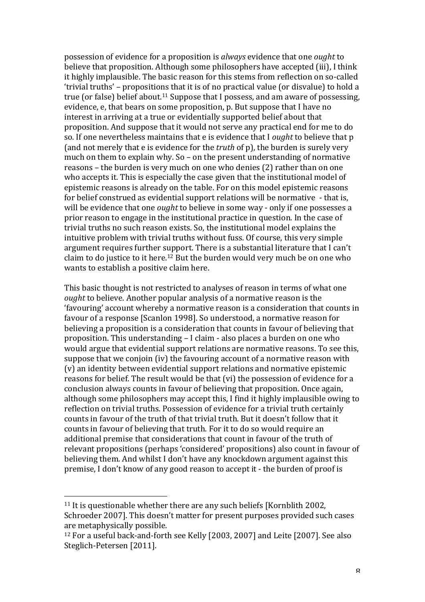possession of evidence for a proposition is *always* evidence that one *ought* to believe that proposition. Although some philosophers have accepted (iii), I think it highly implausible. The basic reason for this stems from reflection on so-called 'trivial truths' – propositions that it is of no practical value (or disvalue) to hold a true (or false) belief about.<sup>11</sup> Suppose that I possess, and am aware of possessing, evidence, e, that bears on some proposition, p. But suppose that I have no interest in arriving at a true or evidentially supported belief about that proposition. And suppose that it would not serve any practical end for me to do so. If one nevertheless maintains that e is evidence that I *ought* to believe that p (and not merely that e is evidence for the *truth* of p), the burden is surely very much on them to explain why. So – on the present understanding of normative reasons – the burden is very much on one who denies (2) rather than on one who accepts it. This is especially the case given that the institutional model of epistemic reasons is already on the table. For on this model epistemic reasons for belief construed as evidential support relations will be normative - that is, will be evidence that one *ought* to believe in some way - only if one possesses a prior reason to engage in the institutional practice in question. In the case of trivial truths no such reason exists. So, the institutional model explains the intuitive problem with trivial truths without fuss. Of course, this very simple argument requires further support. There is a substantial literature that I can't claim to do justice to it here.<sup>12</sup> But the burden would very much be on one who wants to establish a positive claim here.

This basic thought is not restricted to analyses of reason in terms of what one *ought* to believe. Another popular analysis of a normative reason is the 'favouring' account whereby a normative reason is a consideration that counts in favour of a response [Scanlon 1998]. So understood, a normative reason for believing a proposition is a consideration that counts in favour of believing that proposition. This understanding  $-1$  claim - also places a burden on one who would argue that evidential support relations are normative reasons. To see this, suppose that we conjoin (iv) the favouring account of a normative reason with  $(v)$  an identity between evidential support relations and normative epistemic reasons for belief. The result would be that (vi) the possession of evidence for a conclusion always counts in favour of believing that proposition. Once again, although some philosophers may accept this, I find it highly implausible owing to reflection on trivial truths. Possession of evidence for a trivial truth certainly counts in favour of the truth of that trivial truth. But it doesn't follow that it counts in favour of believing that truth. For it to do so would require an additional premise that considerations that count in favour of the truth of relevant propositions (perhaps 'considered' propositions) also count in favour of believing them. And whilst I don't have any knockdown argument against this premise, I don't know of any good reason to accept it - the burden of proof is

<sup>&</sup>lt;sup>11</sup> It is questionable whether there are any such beliefs [Kornblith 2002, Schroeder 2007]. This doesn't matter for present purposes provided such cases are metaphysically possible.

<sup>&</sup>lt;sup>12</sup> For a useful back-and-forth see Kelly [2003, 2007] and Leite [2007]. See also Steglich-Petersen [2011].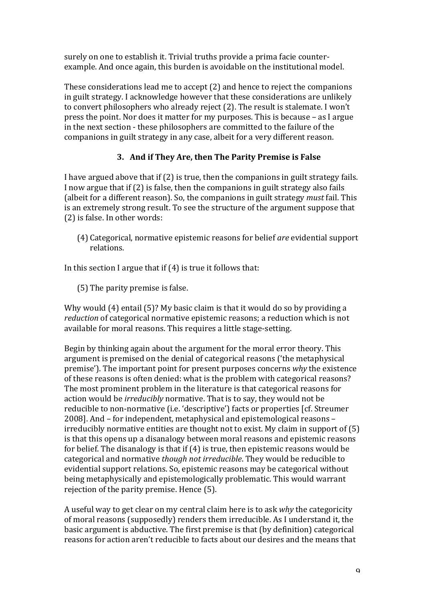surely on one to establish it. Trivial truths provide a prima facie counterexample. And once again, this burden is avoidable on the institutional model.

These considerations lead me to accept  $(2)$  and hence to reject the companions in guilt strategy. I acknowledge however that these considerations are unlikely to convert philosophers who already reject (2). The result is stalemate. I won't press the point. Nor does it matter for my purposes. This is because  $-$  as I argue in the next section - these philosophers are committed to the failure of the companions in guilt strategy in any case, albeit for a very different reason.

# **3. And if They Are, then The Parity Premise is False**

I have argued above that if  $(2)$  is true, then the companions in guilt strategy fails. I now argue that if  $(2)$  is false, then the companions in guilt strategy also fails (albeit for a different reason). So, the companions in guilt strategy *must* fail. This is an extremely strong result. To see the structure of the argument suppose that (2) is false. In other words:

(4) Categorical, normative epistemic reasons for belief *are* evidential support relations.

In this section I argue that if  $(4)$  is true it follows that:

(5) The parity premise is false.

Why would  $(4)$  entail  $(5)$ ? My basic claim is that it would do so by providing a *reduction* of categorical normative epistemic reasons; a reduction which is not available for moral reasons. This requires a little stage-setting.

Begin by thinking again about the argument for the moral error theory. This argument is premised on the denial of categorical reasons ('the metaphysical premise'). The important point for present purposes concerns *why* the existence of these reasons is often denied: what is the problem with categorical reasons? The most prominent problem in the literature is that categorical reasons for action would be *irreducibly* normative. That is to say, they would not be reducible to non-normative (i.e. 'descriptive') facts or properties [cf. Streumer 2008]. And – for independent, metaphysical and epistemological reasons –  $i$  irreducibly normative entities are thought not to exist. My claim in support of  $(5)$ is that this opens up a disanalogy between moral reasons and epistemic reasons for belief. The disanalogy is that if  $(4)$  is true, then epistemic reasons would be categorical and normative *though not irreducible*. They would be reducible to evidential support relations. So, epistemic reasons may be categorical without being metaphysically and epistemologically problematic. This would warrant rejection of the parity premise. Hence (5).

A useful way to get clear on my central claim here is to ask *why* the categoricity of moral reasons (supposedly) renders them irreducible. As I understand it, the basic argument is abductive. The first premise is that (by definition) categorical reasons for action aren't reducible to facts about our desires and the means that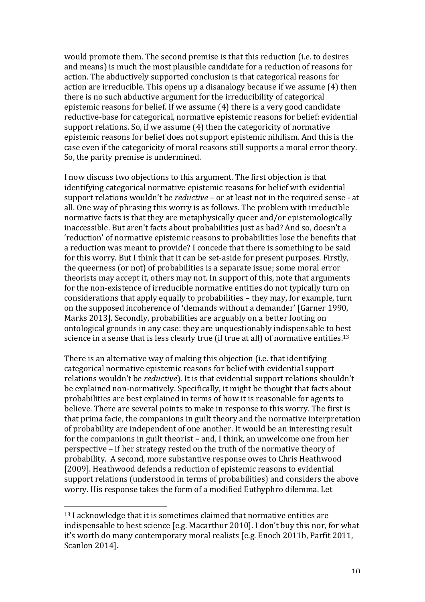would promote them. The second premise is that this reduction (i.e. to desires and means) is much the most plausible candidate for a reduction of reasons for action. The abductively supported conclusion is that categorical reasons for action are irreducible. This opens up a disanalogy because if we assume  $(4)$  then there is no such abductive argument for the irreducibility of categorical epistemic reasons for belief. If we assume (4) there is a very good candidate reductive-base for categorical, normative epistemic reasons for belief: evidential support relations. So, if we assume  $(4)$  then the categoricity of normative epistemic reasons for belief does not support epistemic nihilism. And this is the case even if the categoricity of moral reasons still supports a moral error theory. So, the parity premise is undermined.

I now discuss two objections to this argument. The first objection is that identifying categorical normative epistemic reasons for belief with evidential support relations wouldn't be *reductive* – or at least not in the required sense - at all. One way of phrasing this worry is as follows. The problem with irreducible normative facts is that they are metaphysically queer and/or epistemologically inaccessible. But aren't facts about probabilities just as bad? And so, doesn't a 'reduction' of normative epistemic reasons to probabilities lose the benefits that a reduction was meant to provide? I concede that there is something to be said for this worry. But I think that it can be set-aside for present purposes. Firstly, the queerness (or not) of probabilities is a separate issue; some moral error theorists may accept it, others may not. In support of this, note that arguments for the non-existence of irreducible normative entities do not typically turn on considerations that apply equally to probabilities  $-$  they may, for example, turn on the supposed incoherence of 'demands without a demander' [Garner 1990, Marks 2013]. Secondly, probabilities are arguably on a better footing on ontological grounds in any case: they are unquestionably indispensable to best science in a sense that is less clearly true (if true at all) of normative entities.<sup>13</sup>

There is an alternative way of making this objection (i.e. that identifying categorical normative epistemic reasons for belief with evidential support relations wouldn't be *reductive*). It is that evidential support relations shouldn't be explained non-normatively. Specifically, it might be thought that facts about probabilities are best explained in terms of how it is reasonable for agents to believe. There are several points to make in response to this worry. The first is that prima facie, the companions in guilt theory and the normative interpretation of probability are independent of one another. It would be an interesting result for the companions in guilt theorist  $-$  and, I think, an unwelcome one from her perspective – if her strategy rested on the truth of the normative theory of probability. A second, more substantive response owes to Chris Heathwood [2009]. Heathwood defends a reduction of epistemic reasons to evidential support relations (understood in terms of probabilities) and considers the above worry. His response takes the form of a modified Euthyphro dilemma. Let

 $13$  I acknowledge that it is sometimes claimed that normative entities are indispensable to best science [e.g. Macarthur 2010]. I don't buy this nor, for what it's worth do many contemporary moral realists [e.g. Enoch 2011b, Parfit 2011, Scanlon 2014].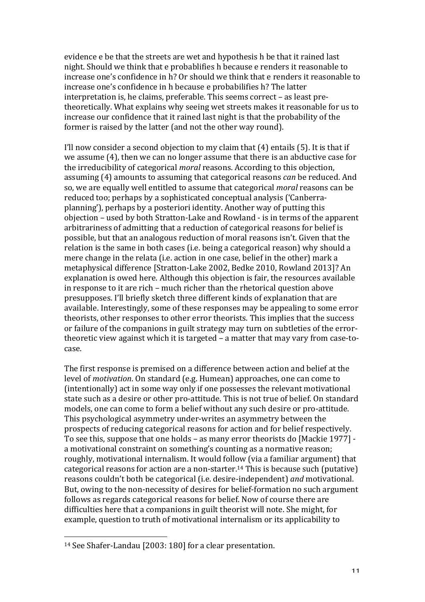evidence e be that the streets are wet and hypothesis h be that it rained last night. Should we think that e probablifies h because e renders it reasonable to increase one's confidence in  $h$ ? Or should we think that e renders it reasonable to increase one's confidence in h because e probabilifies h? The latter interpretation is, he claims, preferable. This seems correct – as least pretheoretically. What explains why seeing wet streets makes it reasonable for us to increase our confidence that it rained last night is that the probability of the former is raised by the latter (and not the other way round).

I'll now consider a second objection to my claim that  $(4)$  entails  $(5)$ . It is that if we assume  $(4)$ , then we can no longer assume that there is an abductive case for the irreducibility of categorical *moral* reasons. According to this objection, assuming (4) amounts to assuming that categorical reasons *can* be reduced. And so, we are equally well entitled to assume that categorical *moral* reasons can be reduced too; perhaps by a sophisticated conceptual analysis ('Canberraplanning'), perhaps by a posteriori identity. Another way of putting this objection – used by both Stratton-Lake and Rowland - is in terms of the apparent arbitrariness of admitting that a reduction of categorical reasons for belief is possible, but that an analogous reduction of moral reasons isn't. Given that the relation is the same in both cases (i.e. being a categorical reason) why should a mere change in the relata (i.e. action in one case, belief in the other) mark a metaphysical difference [Stratton-Lake 2002, Bedke 2010, Rowland 2013]? An explanation is owed here. Although this objection is fair, the resources available in response to it are rich – much richer than the rhetorical question above presupposes. I'll briefly sketch three different kinds of explanation that are available. Interestingly, some of these responses may be appealing to some error theorists, other responses to other error theorists. This implies that the success or failure of the companions in guilt strategy may turn on subtleties of the errortheoretic view against which it is targeted  $-$  a matter that may vary from case-tocase. 

The first response is premised on a difference between action and belief at the level of *motivation*. On standard (e.g. Humean) approaches, one can come to (intentionally) act in some way only if one possesses the relevant motivational state such as a desire or other pro-attitude. This is not true of belief. On standard models, one can come to form a belief without any such desire or pro-attitude. This psychological asymmetry under-writes an asymmetry between the prospects of reducing categorical reasons for action and for belief respectively. To see this, suppose that one holds – as many error theorists do [Mackie 1977] a motivational constraint on something's counting as a normative reason; roughly, motivational internalism. It would follow (via a familiar argument) that categorical reasons for action are a non-starter.<sup>14</sup> This is because such (putative) reasons couldn't both be categorical (i.e. desire-independent) *and* motivational. But, owing to the non-necessity of desires for belief-formation no such argument follows as regards categorical reasons for belief. Now of course there are difficulties here that a companions in guilt theorist will note. She might, for example, question to truth of motivational internalism or its applicability to

<sup>&</sup>lt;sup>14</sup> See Shafer-Landau [2003: 180] for a clear presentation.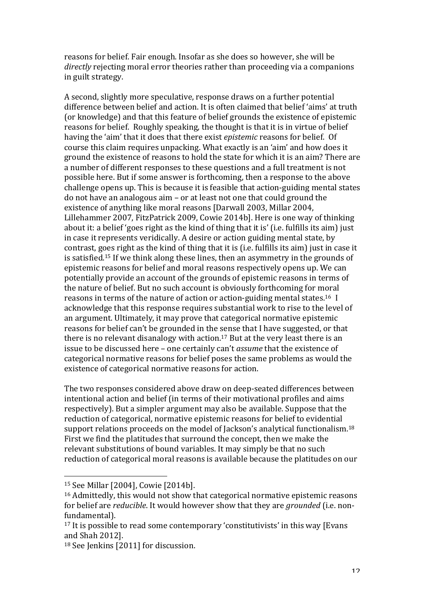reasons for belief. Fair enough. Insofar as she does so however, she will be *directly* rejecting moral error theories rather than proceeding via a companions in guilt strategy.

A second, slightly more speculative, response draws on a further potential difference between belief and action. It is often claimed that belief 'aims' at truth (or knowledge) and that this feature of belief grounds the existence of epistemic reasons for belief. Roughly speaking, the thought is that it is in virtue of belief having the 'aim' that it does that there exist *epistemic* reasons for belief. Of course this claim requires unpacking. What exactly is an 'aim' and how does it ground the existence of reasons to hold the state for which it is an aim? There are a number of different responses to these questions and a full treatment is not possible here. But if some answer is forthcoming, then a response to the above challenge opens up. This is because it is feasible that action-guiding mental states do not have an analogous  $\alpha$ im – or at least not one that could ground the existence of anything like moral reasons [Darwall 2003, Millar 2004, Lillehammer 2007, FitzPatrick 2009, Cowie 2014bl. Here is one way of thinking about it: a belief 'goes right as the kind of thing that it is' (i.e. fulfills its aim) just in case it represents veridically. A desire or action guiding mental state, by contrast, goes right as the kind of thing that it is (i.e. fulfills its aim) just in case it is satisfied.<sup>15</sup> If we think along these lines, then an asymmetry in the grounds of epistemic reasons for belief and moral reasons respectively opens up. We can potentially provide an account of the grounds of epistemic reasons in terms of the nature of belief. But no such account is obviously forthcoming for moral reasons in terms of the nature of action or action-guiding mental states.<sup>16</sup> I acknowledge that this response requires substantial work to rise to the level of an argument. Ultimately, it may prove that categorical normative epistemic reasons for belief can't be grounded in the sense that I have suggested, or that there is no relevant disanalogy with action.<sup>17</sup> But at the very least there is an issue to be discussed here – one certainly can't *assume* that the existence of categorical normative reasons for belief poses the same problems as would the existence of categorical normative reasons for action.

The two responses considered above draw on deep-seated differences between intentional action and belief (in terms of their motivational profiles and aims respectively). But a simpler argument may also be available. Suppose that the reduction of categorical, normative epistemic reasons for belief to evidential support relations proceeds on the model of Jackson's analytical functionalism.<sup>18</sup> First we find the platitudes that surround the concept, then we make the relevant substitutions of bound variables. It may simply be that no such reduction of categorical moral reasons is available because the platitudes on our

<sup>&</sup>lt;sup>15</sup> See Millar [2004], Cowie [2014b].

<sup>&</sup>lt;sup>16</sup> Admittedly, this would not show that categorical normative epistemic reasons for belief are *reducible*. It would however show that they are *grounded* (i.e. nonfundamental).

 $17$  It is possible to read some contemporary 'constitutivists' in this way [Evans and Shah 2012].

 $18$  See Jenkins [2011] for discussion.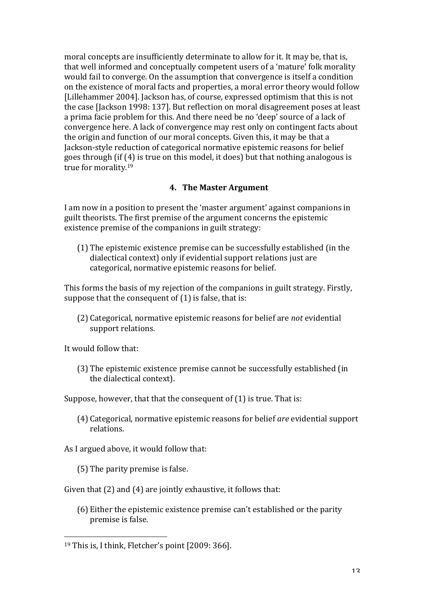moral concepts are insufficiently determinate to allow for it. It may be, that is, that well informed and conceptually competent users of a 'mature' folk morality would fail to converge. On the assumption that convergence is itself a condition on the existence of moral facts and properties, a moral error theory would follow [Lillehammer 2004]. Jackson has, of course, expressed optimism that this is not the case [Jackson 1998: 137]. But reflection on moral disagreement poses at least a prima facie problem for this. And there need be no 'deep' source of a lack of convergence here. A lack of convergence may rest only on contingent facts about the origin and function of our moral concepts. Given this, it may be that a Jackson-style reduction of categorical normative epistemic reasons for belief goes through (if  $(4)$  is true on this model, it does) but that nothing analogous is true for morality. $19$ 

## **4. The Master Argument**

I am now in a position to present the 'master argument' against companions in guilt theorists. The first premise of the argument concerns the epistemic existence premise of the companions in guilt strategy:

 $(1)$  The epistemic existence premise can be successfully established (in the dialectical context) only if evidential support relations just are categorical, normative epistemic reasons for belief.

This forms the basis of my rejection of the companions in guilt strategy. Firstly, suppose that the consequent of  $(1)$  is false, that is:

(2) Categorical, normative epistemic reasons for belief are *not* evidential support relations.

It would follow that:

(3) The epistemic existence premise cannot be successfully established (in the dialectical context).

Suppose, however, that that the consequent of  $(1)$  is true. That is:

(4) Categorical, normative epistemic reasons for belief *are* evidential support relations.

As I argued above, it would follow that:

(5) The parity premise is false.

 

Given that  $(2)$  and  $(4)$  are jointly exhaustive, it follows that:

 $(6)$  Either the epistemic existence premise can't established or the parity premise is false.

 $19$  This is, I think, Fletcher's point  $[2009: 366]$ .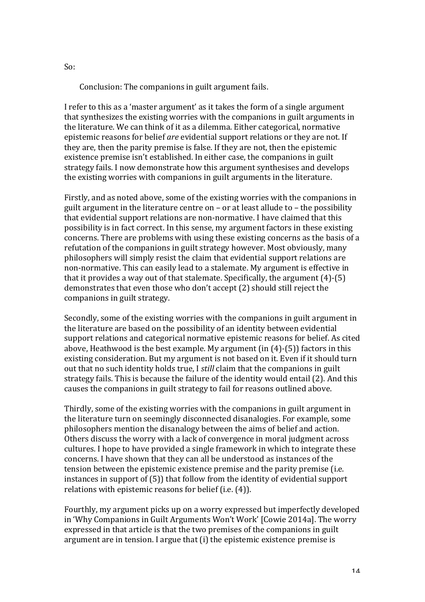Conclusion: The companions in guilt argument fails.

I refer to this as a 'master argument' as it takes the form of a single argument that synthesizes the existing worries with the companions in guilt arguments in the literature. We can think of it as a dilemma. Either categorical, normative epistemic reasons for belief *are* evidential support relations or they are not. If they are, then the parity premise is false. If they are not, then the epistemic existence premise isn't established. In either case, the companions in guilt strategy fails. I now demonstrate how this argument synthesises and develops the existing worries with companions in guilt arguments in the literature.

Firstly, and as noted above, some of the existing worries with the companions in guilt argument in the literature centre on  $-$  or at least allude to  $-$  the possibility that evidential support relations are non-normative. I have claimed that this possibility is in fact correct. In this sense, my argument factors in these existing concerns. There are problems with using these existing concerns as the basis of a refutation of the companions in guilt strategy however. Most obviously, many philosophers will simply resist the claim that evidential support relations are non-normative. This can easily lead to a stalemate. My argument is effective in that it provides a way out of that stalemate. Specifically, the argument  $(4)$ - $(5)$ demonstrates that even those who don't accept (2) should still reject the companions in guilt strategy.

Secondly, some of the existing worries with the companions in guilt argument in the literature are based on the possibility of an identity between evidential support relations and categorical normative epistemic reasons for belief. As cited above, Heathwood is the best example. My argument  $(in (4)-(5))$  factors in this existing consideration. But my argument is not based on it. Even if it should turn out that no such identity holds true, I *still* claim that the companions in guilt strategy fails. This is because the failure of the identity would entail (2). And this causes the companions in guilt strategy to fail for reasons outlined above.

Thirdly, some of the existing worries with the companions in guilt argument in the literature turn on seemingly disconnected disanalogies. For example, some philosophers mention the disanalogy between the aims of belief and action. Others discuss the worry with a lack of convergence in moral judgment across cultures. I hope to have provided a single framework in which to integrate these concerns. I have shown that they can all be understood as instances of the tension between the epistemic existence premise and the parity premise (i.e. instances in support of  $(5)$ ) that follow from the identity of evidential support relations with epistemic reasons for belief (i.e.  $(4)$ ).

Fourthly, my argument picks up on a worry expressed but imperfectly developed in 'Why Companions in Guilt Arguments Won't Work' [Cowie 2014a]. The worry expressed in that article is that the two premises of the companions in guilt argument are in tension. I argue that (i) the epistemic existence premise is

So: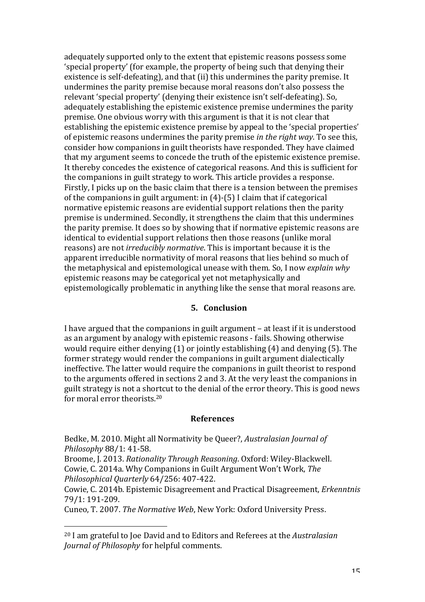adequately supported only to the extent that epistemic reasons possess some 'special property' (for example, the property of being such that denying their existence is self-defeating), and that (ii) this undermines the parity premise. It undermines the parity premise because moral reasons don't also possess the relevant 'special property' (denying their existence isn't self-defeating). So, adequately establishing the epistemic existence premise undermines the parity premise. One obvious worry with this argument is that it is not clear that establishing the epistemic existence premise by appeal to the 'special properties' of epistemic reasons undermines the parity premise *in the right way*. To see this, consider how companions in guilt theorists have responded. They have claimed that my argument seems to concede the truth of the epistemic existence premise. It thereby concedes the existence of categorical reasons. And this is sufficient for the companions in guilt strategy to work. This article provides a response. Firstly, I picks up on the basic claim that there is a tension between the premises of the companions in guilt argument: in  $(4)-(5)$  I claim that if categorical normative epistemic reasons are evidential support relations then the parity premise is undermined. Secondly, it strengthens the claim that this undermines the parity premise. It does so by showing that if normative epistemic reasons are identical to evidential support relations then those reasons (unlike moral reasons) are not *irreducibly normative*. This is important because it is the apparent irreducible normativity of moral reasons that lies behind so much of the metaphysical and epistemological unease with them. So, I now *explain* why epistemic reasons may be categorical yet not metaphysically and epistemologically problematic in anything like the sense that moral reasons are.

## **5. Conclusion**

I have argued that the companions in guilt argument – at least if it is understood as an argument by analogy with epistemic reasons - fails. Showing otherwise would require either denying  $(1)$  or jointly establishing  $(4)$  and denying  $(5)$ . The former strategy would render the companions in guilt argument dialectically ineffective. The latter would require the companions in guilt theorist to respond to the arguments offered in sections 2 and 3. At the very least the companions in guilt strategy is not a shortcut to the denial of the error theory. This is good news for moral error theorists.<sup>20</sup>

#### **References**

Bedke, M. 2010. Might all Normativity be Queer?, *Australasian Journal of Philosophy* 88/1: 41-58.

Broome, J. 2013. *Rationality Through Reasoning*. Oxford: Wiley-Blackwell. Cowie, C. 2014a. Why Companions in Guilt Argument Won't Work, *The Philosophical Quarterly* 64/256: 407-422.

Cowie, C. 2014b. Epistemic Disagreement and Practical Disagreement, *Erkenntnis* 79/1: 191-209.

Cuneo, T. 2007. *The Normative Web*, New York: Oxford University Press.

<sup>&</sup>lt;sup>20</sup> I am grateful to Joe David and to Editors and Referees at the *Australasian Journal of Philosophy* for helpful comments.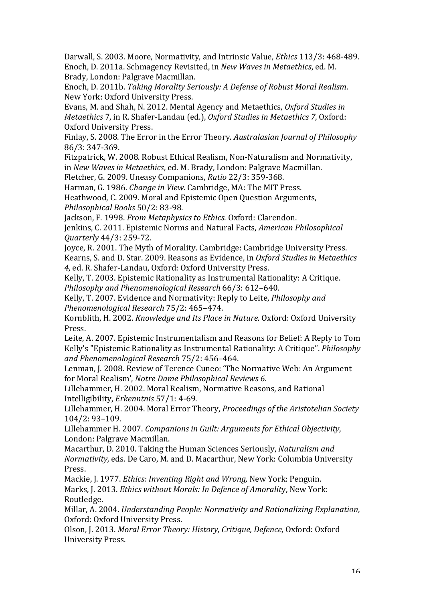Darwall, S. 2003. Moore, Normativity, and Intrinsic Value, *Ethics* 113/3: 468-489. Enoch, D. 2011a. Schmagency Revisited, in *New Waves in Metaethics*, ed. M. Brady, London: Palgrave Macmillan.

Enoch, D. 2011b. *Taking Morality Seriously: A Defense of Robust Moral Realism.* New York: Oxford University Press.

Evans, M. and Shah, N. 2012. Mental Agency and Metaethics, *Oxford Studies in Metaethics* 7, in R. Shafer-Landau (ed.), *Oxford Studies in Metaethics* 7, Oxford: Oxford University Press.

Finlay, S. 2008. The Error in the Error Theory. *Australasian Journal of Philosophy* 86/3: 347-369.

Fitzpatrick, W. 2008. Robust Ethical Realism, Non-Naturalism and Normativity, in *New Waves in Metaethics*, ed. M. Brady, London: Palgrave Macmillan.

Fletcher, G. 2009. Uneasy Companions, *Ratio* 22/3: 359-368.

Harman, G. 1986. *Change in View*. Cambridge, MA: The MIT Press. Heathwood, C. 2009. Moral and Epistemic Open Ouestion Arguments, *Philosophical Books* 50/2: 83-98.

Jackson, F. 1998. *From Metaphysics to Ethics*. Oxford: Clarendon.

Jenkins, C. 2011. Epistemic Norms and Natural Facts, *American Philosophical Quarterly* 44/3: 259-72.

Joyce, R. 2001. The Myth of Morality. Cambridge: Cambridge University Press. Kearns, S. and D. Star. 2009. Reasons as Evidence, in *Oxford Studies in Metaethics* 4, ed. R. Shafer-Landau, Oxford: Oxford University Press.

Kelly, T. 2003. Epistemic Rationality as Instrumental Rationality: A Critique. *Philosophy and Phenomenological Research* 66/3: 612–640.

Kelly, T. 2007. Evidence and Normativity: Reply to Leite, *Philosophy and Phenomenological Research* 75/2: 465–474.

Kornblith, H. 2002. *Knowledge and Its Place in Nature.* Oxford: Oxford University Press.

Leite, A. 2007. Epistemic Instrumentalism and Reasons for Belief: A Reply to Tom Kelly's "Epistemic Rationality as Instrumental Rationality: A Critique". *Philosophy and Phenomenological Research* 75/2: 456–464.

Lenman, J. 2008. Review of Terence Cuneo: 'The Normative Web: An Argument for Moral Realism', *Notre Dame Philosophical Reviews 6*.

Lillehammer, H. 2002. Moral Realism, Normative Reasons, and Rational Intelligibility, *Erkenntnis* 57/1: 4-69.

Lillehammer, H. 2004. Moral Error Theory, *Proceedings of the Aristotelian Society* 104/2: 93–109.

Lillehammer H. 2007. *Companions in Guilt: Arguments for Ethical Objectivity*, London: Palgrave Macmillan.

Macarthur, D. 2010. Taking the Human Sciences Seriously, *Naturalism and Normativity*, eds. De Caro, M. and D. Macarthur, New York: Columbia University Press.

Mackie, J. 1977. *Ethics: Inventing Right and Wrong*, New York: Penguin. Marks, J. 2013. *Ethics without Morals: In Defence of Amorality*. New York: Routledge.

Millar, A. 2004. *Understanding People: Normativity and Rationalizing Explanation.* Oxford: Oxford University Press.

Olson, J. 2013. *Moral Error Theory: History, Critique, Defence, Oxford: Oxford* University Press.